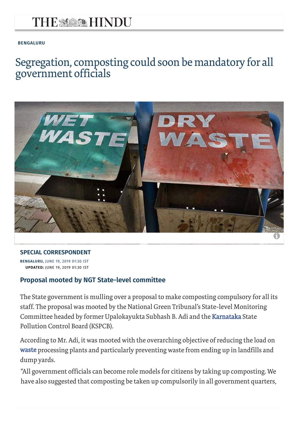## THE MARK HINDU

#### **BENGALURU**

### [Segrega](https://www.thehindu.com/news/cities/bangalore/)tion, composting could soon be mandatory for all government officials



#### **SPECIAL CORRESPONDENT**

**BENGALURU,** JUNE 19, 2019 01:30 IST **UPDATED:** JUNE 19, 2019 01:30 IST

#### **Proposal mooted by NGT State-level committee**

The State government is mulling over a proposal to make composting compulsory for all its staff. The proposal was mooted by the National Green Tribunal's State-level Monitoring Committee headed by former Upalokayukta Subhash B. Adi and the [Karnataka](https://www.thehindu.com/tag/144-81/karnataka/?utm=bodytag) State Pollution Control Board (KSPCB).

According to Mr. Adi, it was mooted with the overarching objective of reducing the load on [waste p](https://www.thehindu.com/tag/1060-993/waste/?utm=bodytag)rocessing plants and particularly preventing waste from ending up in landfills and dump yards.

"All government officials can become role models for citizens by taking up composting. We have also suggested that composting be taken up com[pulsorily in all government quar](https://subscription.thehindu.com/subscription?utm_source=curtainraiser&utm_medium=subscribe&utm_campaign=subscription)ters,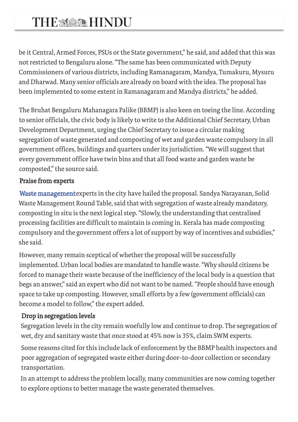# THE MARK HINDU

be it Central, Armed Forces, PSUs or the State government," he said, and added that this was not restricted to Bengaluru alone. "The same has been communicated with Deputy Commissioners of various districts, including Ramanagaram, Mandya, Tumakuru, Mysuru and Dharwad. Many senior officials are already on board with the idea. The proposal has been implemented to some extent in Ramanagaram and Mandya districts," he added.

The Bruhat Bengaluru Mahanagara Palike (BBMP) is also keen on toeing the line. According to senior officials, the civic body is likely to write to the Additional Chief Secretary, Urban Development Department, urging the Chief Secretary to issue a circular making segregation of waste generated and composting of wet and garden waste compulsory in all government offices, buildings and quarters under its jurisdiction. "We will suggest that [every government of](https://www.thehindu.com/tag/1065-1060-993/waste-management/?utm=bodytag)fice have twin bins and that all food waste and garden waste be composted," the source said.

### Praise from experts

Waste management experts in the city have hailed the proposal. Sandya Narayanan, Solid Waste Management Round Table, said that with segregation of waste already mandatory, composting in situ is the next logical step. "Slowly, the understanding that centralised processing facilities are difficult to maintain is coming in. Kerala has made composting compulsory and the government offers a lot of support by way of incentives and subsidies," she said.

However, many remain sceptical of whether the proposal will be successfully implemented. Urban local bodies are mandated to handle waste. "Why should citizens be forced to manage their waste because of the inefficiency of the local body is a question that begs an answer," said an expert who did not want to be named. "People should have enough space to take up composting. However, small efforts by a few (government officials) can become a model to follow," the expert added.

### Drop in segregation levels

Segregation levels in the city remain woefully low and continue to drop. The segregation of wet, dry and sanitary waste that once stood at 45% now is 35%, claim SWM experts.

Some reasons cited for this include lack of enforcement by the BBMP health inspectors and poor aggregation of segregated waste either during door-to-door collection or secondary transportation.

In an attempt to address the problem locally, many co[mmunities are now coming toge](https://subscription.thehindu.com/subscription?utm_source=curtainraiser&utm_medium=subscribe&utm_campaign=subscription)ther to explore options to better manage the waste generated themselves.